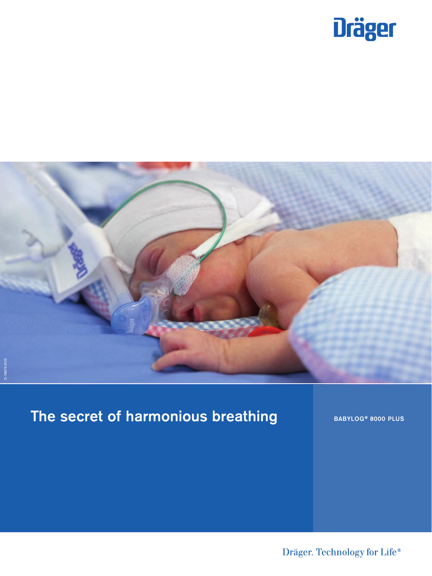



# The secret of harmonious breathing

BABYLOG® 8000 PLUS

Dräger. Technology for Life®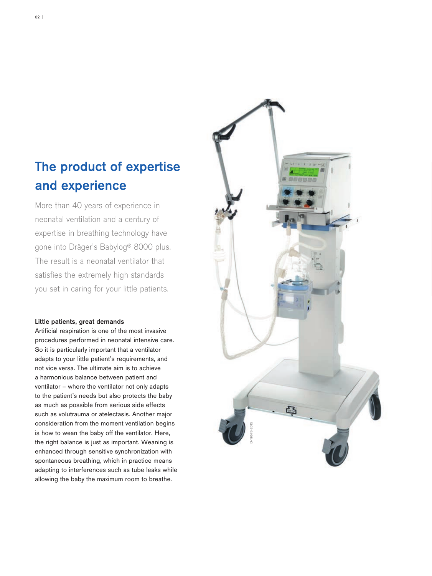# The product of expertise and experience

More than 40 years of experience in neonatal ventilation and a century of expertise in breathing technology have gone into Dräger's Babylog® 8000 plus. The result is a neonatal ventilator that satisfies the extremely high standards you set in caring for your little patients.

# Little patients, great demands

Artificial respiration is one of the most invasive procedures performed in neonatal intensive care. So it is particularly important that a ventilator adapts to your little patient's requirements, and not vice versa. The ultimate aim is to achieve a harmonious balance between patient and ventilator – where the ventilator not only adapts to the patient's needs but also protects the baby as much as possible from serious side effects such as volutrauma or atelectasis. Another major consideration from the moment ventilation begins is how to wean the baby off the ventilator. Here, the right balance is just as important. Weaning is enhanced through sensitive synchronization with spontaneous breathing, which in practice means adapting to interferences such as tube leaks while allowing the baby the maximum room to breathe.

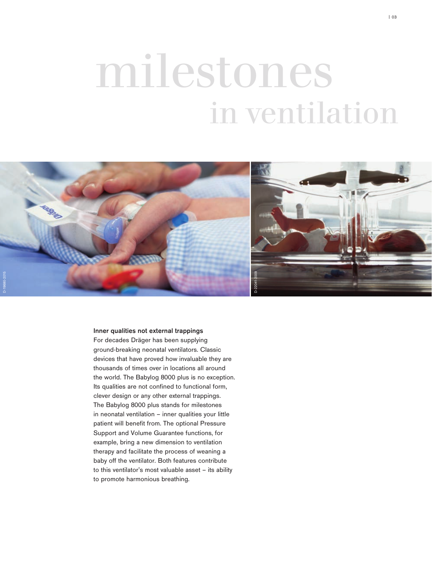# milestones in ventilation



# Inner qualities not external trappings

For decades Dräger has been supplying ground-breaking neonatal ventilators. Classic devices that have proved how invaluable they are thousands of times over in locations all around the world. The Babylog 8000 plus is no exception. Its qualities are not confined to functional form, clever design or any other external trappings. The Babylog 8000 plus stands for milestones in neonatal ventilation – inner qualities your little patient will benefit from. The optional Pressure Support and Volume Guarantee functions, for example, bring a new dimension to ventilation therapy and facilitate the process of weaning a baby off the ventilator. Both features contribute to this ventilator's most valuable asset – its ability to promote harmonious breathing.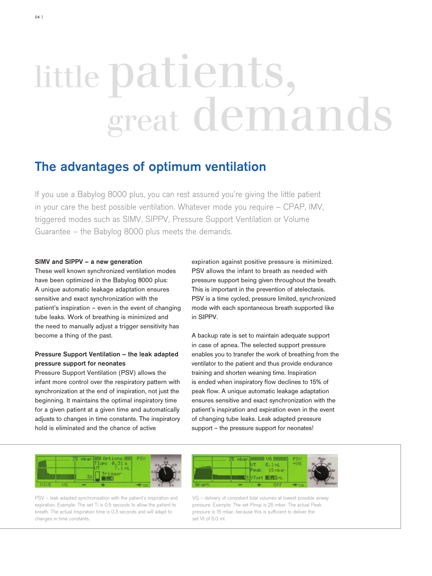# little patients, great demands

# The advantages of optimum ventilation

If you use a Babylog 8000 plus, you can rest assured you're giving the little patient in your care the best possible ventilation. Whatever mode you require – CPAP, IMV, triggered modes such as SIMV, SIPPV, Pressure Support Ventilation or Volume Guarantee – the Babylog 8000 plus meets the demands.

# SIMV and SIPPV – a new generation

These well known synchronized ventilation modes have been optimized in the Babylog 8000 plus: A unique automatic leakage adaptation ensures sensitive and exact synchronization with the patient's inspiration – even in the event of changing tube leaks. Work of breathing is minimized and the need to manually adjust a trigger sensitivity has become a thing of the past.

# Pressure Support Ventilation – the leak adapted pressure support for neonates

Pressure Support Ventilation (PSV) allows the infant more control over the respiratory pattern with synchronization at the end of inspiration, not just the beginning. It maintains the optimal inspiratory time for a given patient at a given time and automatically adjusts to changes in time constants. The inspiratory hold is eliminated and the chance of active

expiration against positive pressure is minimized. PSV allows the infant to breath as needed with pressure support being given throughout the breath. This is important in the prevention of atelectasis. PSV is a time cycled, pressure limited, synchronized mode with each spontaneous breath supported like in SIPPV.

A backup rate is set to maintain adequate support in case of apnea. The selected support pressure enables you to transfer the work of breathing from the ventilator to the patient and thus provide endurance training and shorten weaning time. Inspiration is ended when inspiratory flow declines to 15% of peak flow. A unique automatic leakage adaptation ensures sensitive and exact synchronization with the patient's inspiration and expiration even in the event of changing tube leaks. Leak adapted pressure support – the pressure support for neonates!



PSV – leak adapted synchronization with the patient's inspiration and expiration. Example: The set Ti is 0.5 seconds to allow the patient to breath. The actual Inspiration time is 0.3 seconds and will adapt to changes in time constants.



VG – delivery of consistent tidal volumes at lowest possible airway pressure. Example: The set Pinsp is 25 mbar. The actual Peak pressure is 15 mbar, because this is sufficient to deliver the set Vt of 5.0 ml.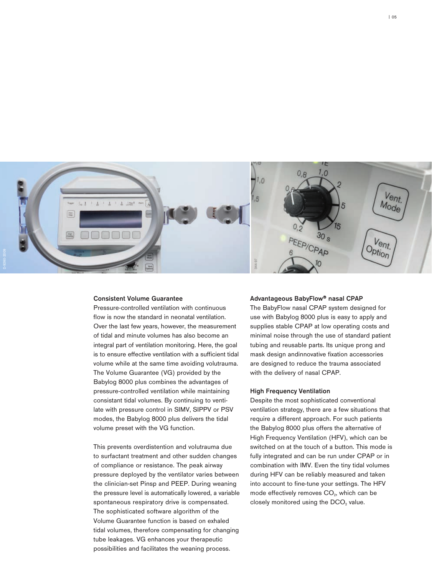

# Consistent Volume Guarantee

Pressure-controlled ventilation with continuous flow is now the standard in neonatal ventilation. Over the last few years, however, the measurement of tidal and minute volumes has also become an integral part of ventilation monitoring. Here, the goal is to ensure effective ventilation with a sufficient tidal volume while at the same time avoiding volutrauma. The Volume Guarantee (VG) provided by the Babylog 8000 plus combines the advantages of pressure-controlled ventilation while maintaining consistant tidal volumes. By continuing to ventilate with pressure control in SIMV, SIPPV or PSV modes, the Babylog 8000 plus delivers the tidal volume preset with the VG function.

This prevents overdistention and volutrauma due to surfactant treatment and other sudden changes of compliance or resistance. The peak airway pressure deployed by the ventilator varies between the clinician-set Pinsp and PEEP. During weaning the pressure level is automatically lowered, a variable spontaneous respiratory drive is compensated. The sophisticated software algorithm of the Volume Guarantee function is based on exhaled tidal volumes, therefore compensating for changing tube leakages. VG enhances your therapeutic possibilities and facilitates the weaning process.

# Advantageous BabyFlow® nasal CPAP

The BabyFlow nasal CPAP system designed for use with Babylog 8000 plus is easy to apply and supplies stable CPAP at low operating costs and minimal noise through the use of standard patient tubing and reusable parts. Its unique prong and mask design andinnovative fixation accessories are designed to reduce the trauma associated with the delivery of nasal CPAP.

# High Frequency Ventilation

Despite the most sophisticated conventional ventilation strategy, there are a few situations that require a different approach. For such patients the Babylog 8000 plus offers the alternative of High Frequency Ventilation (HFV), which can be switched on at the touch of a button. This mode is fully integrated and can be run under CPAP or in combination with IMV. Even the tiny tidal volumes during HFV can be reliably measured and taken into account to fine-tune your settings. The HFV mode effectively removes  $CO<sub>2</sub>$ , which can be closely monitored using the  $DCO<sub>2</sub>$  value.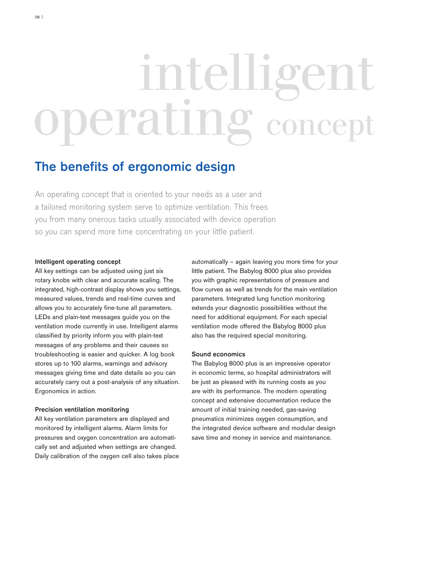# intelligent operating concept

# The benefits of ergonomic design

An operating concept that is oriented to your needs as a user and a tailored monitoring system serve to optimize ventilation. This frees you from many onerous tasks usually associated with device operation so you can spend more time concentrating on your little patient.

# Intelligent operating concept

All key settings can be adjusted using just six rotary knobs with clear and accurate scaling. The integrated, high-contrast display shows you settings, measured values, trends and real-time curves and allows you to accurately fine-tune all parameters. LEDs and plain-text messages guide you on the ventilation mode currently in use. Intelligent alarms classified by priority inform you with plain-text messages of any problems and their causes so troubleshooting is easier and quicker. A log book stores up to 100 alarms, warnings and advisory messages giving time and date details so you can accurately carry out a post-analysis of any situation. Ergonomics in action.

# Precision ventilation monitoring

All key ventilation parameters are displayed and monitored by intelligent alarms. Alarm limits for pressures and oxygen concentration are automatically set and adjusted when settings are changed. Daily calibration of the oxygen cell also takes place automatically – again leaving you more time for your little patient. The Babylog 8000 plus also provides you with graphic representations of pressure and flow curves as well as trends for the main ventilation parameters. Integrated lung function monitoring extends your diagnostic possibilities without the need for additional equipment. For each special ventilation mode offered the Babylog 8000 plus also has the required special monitoring.

## Sound economics

The Babylog 8000 plus is an impressive operator in economic terms, so hospital administrators will be just as pleased with its running costs as you are with its performance. The modern operating concept and extensive documentation reduce the amount of initial training needed, gas-saving pneumatics minimizes oxygen consumption, and the integrated device software and modular design save time and money in service and maintenance.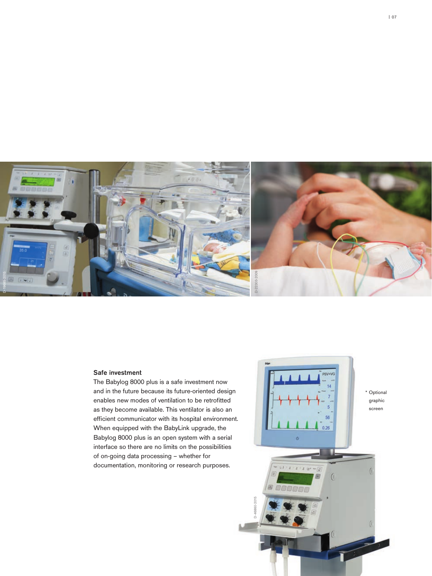

# Safe investment

The Babylog 8000 plus is a safe investment now and in the future because its future-oriented design enables new modes of ventilation to be retrofitted as they become available. This ventilator is also an efficient communicator with its hospital environment. When equipped with the BabyLink upgrade, the Babylog 8000 plus is an open system with a serial interface so there are no limits on the possibilities of on-going data processing – whether for documentation, monitoring or research purposes.